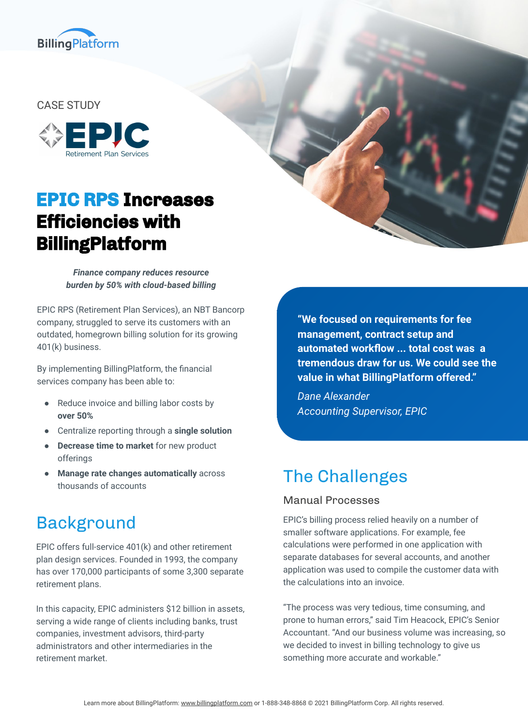

#### CASE STUDY



# **EPIC RPS Increases Efficiencies with BillingPlatform**

*Finance company reduces resource burden by 50% with cloud-based billing*

EPIC RPS (Retirement Plan Services), an NBT Bancorp company, struggled to serve its customers with an outdated, homegrown billing solution for its growing 401(k) business.

By implementing BillingPlatform, the financial services company has been able to:

- Reduce invoice and billing labor costs by **over 50%**
- Centralize reporting through a **single solution**
- **Decrease time to market** for new product offerings
- **Manage rate changes automatically** across thousands of accounts

### Background

EPIC offers full-service 401(k) and other retirement plan design services. Founded in 1993, the company has over 170,000 participants of some 3,300 separate retirement plans.

In this capacity, EPIC administers \$12 billion in assets, serving a wide range of clients including banks, trust companies, investment advisors, third-party administrators and other intermediaries in the retirement market.

**"We focused on requirements for fee management, contract setup and automated workflow ... total cost was a tremendous draw for us. We could see the value in what BillingPlatform offered."**

*Dane Alexander Accounting Supervisor, EPIC*

## The Challenges

#### Manual Processes

EPIC's billing process relied heavily on a number of smaller software applications. For example, fee calculations were performed in one application with separate databases for several accounts, and another application was used to compile the customer data with the calculations into an invoice.

"The process was very tedious, time consuming, and prone to human errors," said Tim Heacock, EPIC's Senior Accountant. "And our business volume was increasing, so we decided to invest in billing technology to give us something more accurate and workable."